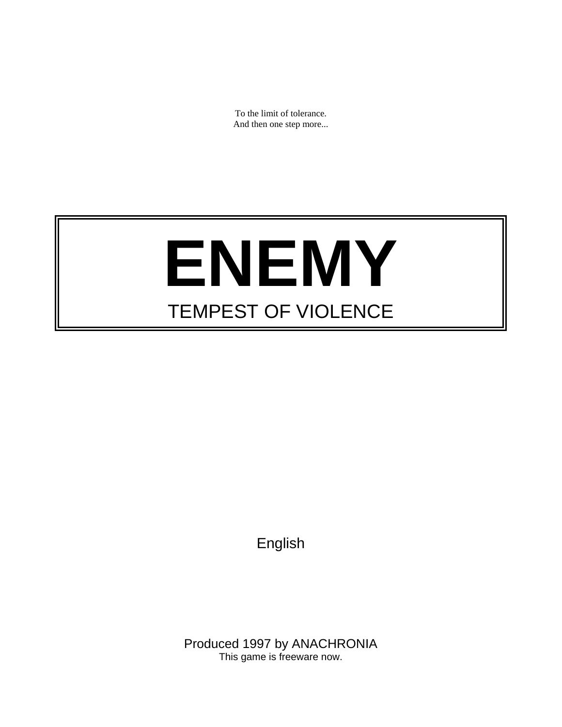To the limit of tolerance. And then one step more...

# **ENEMY** TEMPEST OF VIOLENCE

English

Produced 1997 by ANACHRONIA This game is freeware now.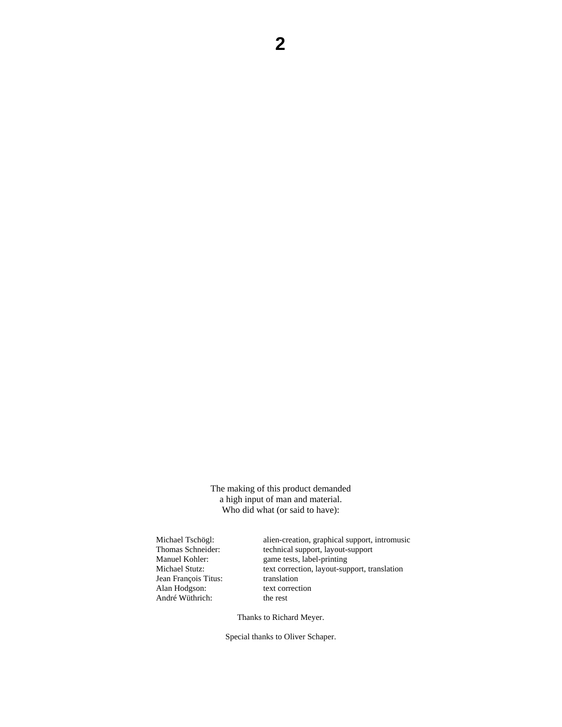The making of this product demanded a high input of man and material. Who did what (or said to have):

Jean François Titus: translation Alan Hodgson: text correction<br>André Wüthrich: the rest André Wüthrich:

Michael Tschögl: alien-creation, graphical support, intromusic Thomas Schneider: technical support, layout-support Manuel Kohler: game tests, label-printing Michael Stutz: text correction, layout-support, translation

Thanks to Richard Meyer.

Special thanks to Oliver Schaper.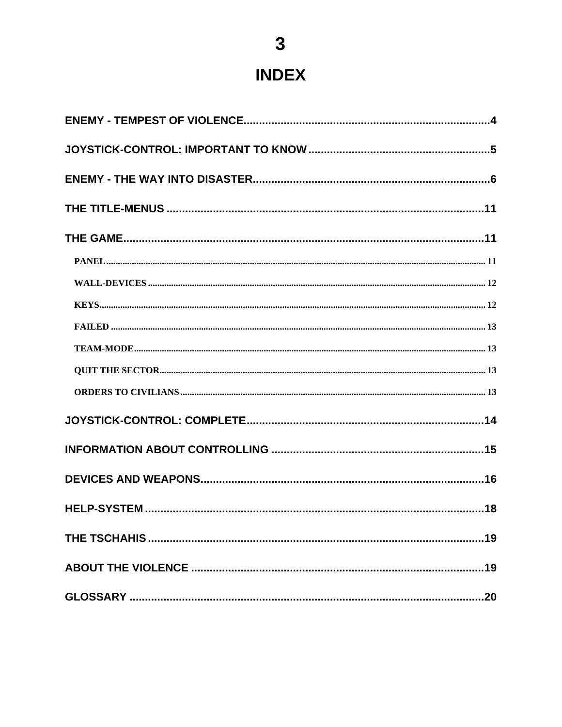# **INDEX**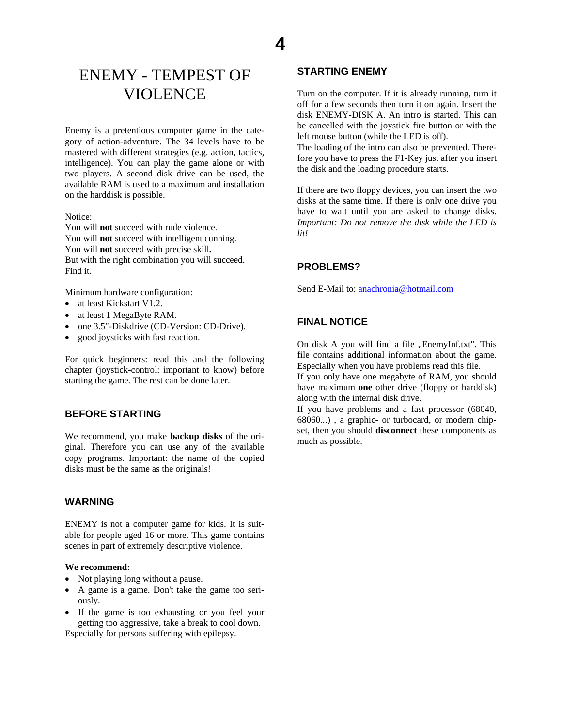# <span id="page-3-0"></span>ENEMY - TEMPEST OF VIOLENCE

Enemy is a pretentious computer game in the category of action-adventure. The 34 levels have to be mastered with different strategies (e.g. action, tactics, intelligence). You can play the game alone or with two players. A second disk drive can be used, the available RAM is used to a maximum and installation on the harddisk is possible.

#### Notice:

You will **not** succeed with rude violence. You will **not** succeed with intelligent cunning. You will **not** succeed with precise skill**.**  But with the right combination you will succeed. Find it.

Minimum hardware configuration:

- at least Kickstart V1.2.
- at least 1 MegaByte RAM.
- one 3.5"-Diskdrive (CD-Version: CD-Drive).
- good joysticks with fast reaction.

For quick beginners: read this and the following chapter (joystick-control: important to know) before starting the game. The rest can be done later.

# **BEFORE STARTING**

We recommend, you make **backup disks** of the original. Therefore you can use any of the available copy programs. Important: the name of the copied disks must be the same as the originals!

## **WARNING**

ENEMY is not a computer game for kids. It is suitable for people aged 16 or more. This game contains scenes in part of extremely descriptive violence.

#### **We recommend:**

- Not playing long without a pause.
- A game is a game. Don't take the game too seriously.
- If the game is too exhausting or you feel your getting too aggressive, take a break to cool down.

Especially for persons suffering with epilepsy.

# **STARTING ENEMY**

**4**

Turn on the computer. If it is already running, turn it off for a few seconds then turn it on again. Insert the disk ENEMY-DISK A. An intro is started. This can be cancelled with the joystick fire button or with the left mouse button (while the LED is off).

The loading of the intro can also be prevented. Therefore you have to press the F1-Key just after you insert the disk and the loading procedure starts.

If there are two floppy devices, you can insert the two disks at the same time. If there is only one drive you have to wait until you are asked to change disks. *Important: Do not remove the disk while the LED is lit!* 

#### **PROBLEMS?**

Send E-Mail to: [anachronia@hotmail.com](mailto:Anachronia@hotmail.com)

#### **FINAL NOTICE**

On disk A you will find a file "EnemyInf.txt". This file contains additional information about the game. Especially when you have problems read this file.

If you only have one megabyte of RAM, you should have maximum **one** other drive (floppy or harddisk) along with the internal disk drive.

If you have problems and a fast processor (68040, 68060...) , a graphic- or turbocard, or modern chipset, then you should **disconnect** these components as much as possible.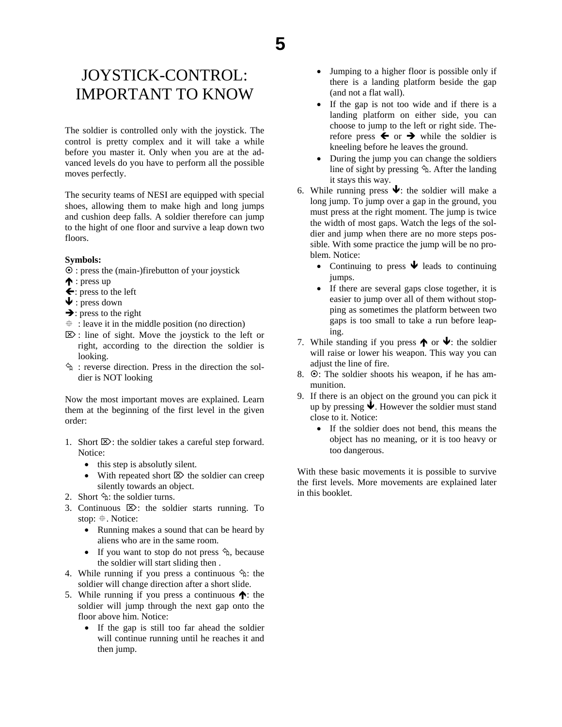# <span id="page-4-0"></span>JOYSTICK-CONTROL: IMPORTANT TO KNOW

The soldier is controlled only with the joystick. The control is pretty complex and it will take a while before you master it. Only when you are at the advanced levels do you have to perform all the possible moves perfectly.

The security teams of NESI are equipped with special shoes, allowing them to make high and long jumps and cushion deep falls. A soldier therefore can jump to the hight of one floor and survive a leap down two floors.

#### **Symbols:**

- $\odot$  : press the (main-)firebutton of your joystick
- $\uparrow$  : press up
- $\leftarrow$ : press to the left
- $\blacklozenge$ : press down
- $\rightarrow$ : press to the right
- $\ddot{\textbf{r}}$ : leave it in the middle position (no direction)
- $\mathbb{Z}$ : line of sight. Move the joystick to the left or right, according to the direction the soldier is looking.
- $\hat{\phi}$ : reverse direction. Press in the direction the soldier is NOT looking

Now the most important moves are explained. Learn them at the beginning of the first level in the given order:

- 1. Short  $\boxtimes$ : the soldier takes a careful step forward. Notice:
	- this step is absolutly silent.
	- With repeated short  $\boxtimes$  the soldier can creep silently towards an object.
- 2. Short  $\hat{\mathcal{F}}$ : the soldier turns.
- 3. Continuous  $\mathbb{Z}$ : the soldier starts running. To stop:  $\oplus$ . Notice:
	- Running makes a sound that can be heard by aliens who are in the same room.
	- If you want to stop do not press  $\hat{\phi}$ , because the soldier will start sliding then .
- 4. While running if you press a continuous  $\hat{\varphi}$ : the soldier will change direction after a short slide.
- 5. While running if you press a continuous  $\bigwedge$ : the soldier will jump through the next gap onto the floor above him. Notice:
	- If the gap is still too far ahead the soldier will continue running until he reaches it and then jump.
- Jumping to a higher floor is possible only if there is a landing platform beside the gap (and not a flat wall).
- If the gap is not too wide and if there is a landing platform on either side, you can choose to jump to the left or right side. Therefore press  $\leftarrow$  or  $\rightarrow$  while the soldier is kneeling before he leaves the ground.
- During the jump you can change the soldiers line of sight by pressing  $\hat{\phi}$ . After the landing it stays this way.
- 6. While running press  $\blacklozenge$ : the soldier will make a long jump. To jump over a gap in the ground, you must press at the right moment. The jump is twice the width of most gaps. Watch the legs of the soldier and jump when there are no more steps possible. With some practice the jump will be no problem. Notice:
	- Continuing to press  $\blacktriangleright$  leads to continuing jumps.
	- If there are several gaps close together, it is easier to jump over all of them without stopping as sometimes the platform between two gaps is too small to take a run before leaping.
- 7. While standing if you press  $\bigwedge$  or  $\bigvee$ : the soldier will raise or lower his weapon. This way you can adjust the line of fire.
- 8.  $\odot$ : The soldier shoots his weapon, if he has ammunition.
- 9. If there is an object on the ground you can pick it up by pressing  $\bigvee$ . However the soldier must stand close to it. Notice:
	- If the soldier does not bend, this means the object has no meaning, or it is too heavy or too dangerous.

With these basic movements it is possible to survive the first levels. More movements are explained later in this booklet.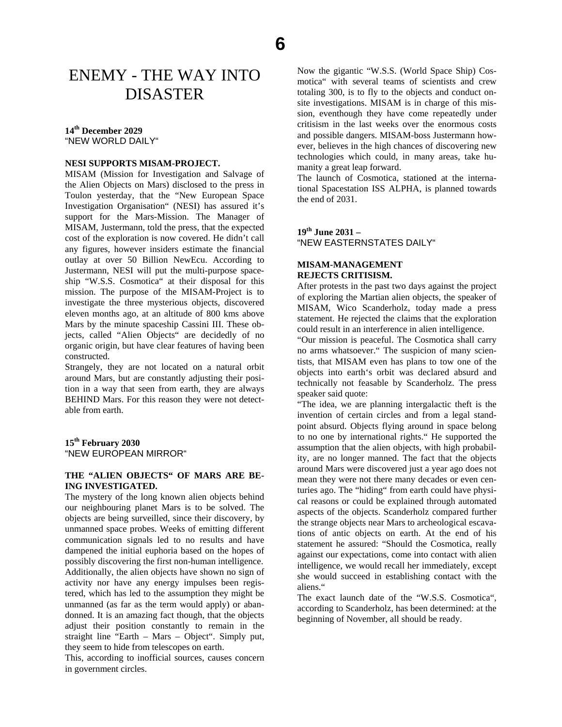# <span id="page-5-0"></span>ENEMY - THE WAY INTO DISASTER

#### **14th December 2029**

"NEW WORLD DAILY"

#### **NESI SUPPORTS MISAM-PROJECT.**

MISAM (Mission for Investigation and Salvage of the Alien Objects on Mars) disclosed to the press in Toulon yesterday, that the "New European Space Investigation Organisation" (NESI) has assured it's support for the Mars-Mission. The Manager of MISAM, Justermann, told the press, that the expected cost of the exploration is now covered. He didn't call any figures, however insiders estimate the financial outlay at over 50 Billion NewEcu. According to Justermann, NESI will put the multi-purpose spaceship "W.S.S. Cosmotica" at their disposal for this mission. The purpose of the MISAM-Project is to investigate the three mysterious objects, discovered eleven months ago, at an altitude of 800 kms above Mars by the minute spaceship Cassini III. These objects, called "Alien Objects" are decidedly of no organic origin, but have clear features of having been constructed.

Strangely, they are not located on a natural orbit around Mars, but are constantly adjusting their position in a way that seen from earth, they are always BEHIND Mars. For this reason they were not detectable from earth.

#### **15th February 2030**  "NEW EUROPEAN MIRROR"

#### **THE "ALIEN OBJECTS" OF MARS ARE BE-ING INVESTIGATED.**

The mystery of the long known alien objects behind our neighbouring planet Mars is to be solved. The objects are being surveilled, since their discovery, by unmanned space probes. Weeks of emitting different communication signals led to no results and have dampened the initial euphoria based on the hopes of possibly discovering the first non-human intelligence. Additionally, the alien objects have shown no sign of activity nor have any energy impulses been registered, which has led to the assumption they might be unmanned (as far as the term would apply) or abandonned. It is an amazing fact though, that the objects adjust their position constantly to remain in the straight line "Earth – Mars – Object". Simply put, they seem to hide from telescopes on earth.

This, according to inofficial sources, causes concern in government circles.

Now the gigantic "W.S.S. (World Space Ship) Cosmotica" with several teams of scientists and crew totaling 300, is to fly to the objects and conduct onsite investigations. MISAM is in charge of this mission, eventhough they have come repeatedly under critisism in the last weeks over the enormous costs and possible dangers. MISAM-boss Justermann however, believes in the high chances of discovering new technologies which could, in many areas, take humanity a great leap forward.

The launch of Cosmotica, stationed at the international Spacestation ISS ALPHA, is planned towards the end of 2031.

#### **19th June 2031 –**  "NEW EASTERNSTATES DAILY"

#### **MISAM-MANAGEMENT REJECTS CRITISISM.**

After protests in the past two days against the project of exploring the Martian alien objects, the speaker of MISAM, Wico Scanderholz, today made a press statement. He rejected the claims that the exploration could result in an interference in alien intelligence.

"Our mission is peaceful. The Cosmotica shall carry no arms whatsoever." The suspicion of many scientists, that MISAM even has plans to tow one of the objects into earth's orbit was declared absurd and technically not feasable by Scanderholz. The press speaker said quote:

"The idea, we are planning intergalactic theft is the invention of certain circles and from a legal standpoint absurd. Objects flying around in space belong to no one by international rights." He supported the assumption that the alien objects, with high probability, are no longer manned. The fact that the objects around Mars were discovered just a year ago does not mean they were not there many decades or even centuries ago. The "hiding" from earth could have physical reasons or could be explained through automated aspects of the objects. Scanderholz compared further the strange objects near Mars to archeological escavations of antic objects on earth. At the end of his statement he assured: "Should the Cosmotica, really against our expectations, come into contact with alien intelligence, we would recall her immediately, except she would succeed in establishing contact with the aliens."

The exact launch date of the "W.S.S. Cosmotica", according to Scanderholz, has been determined: at the beginning of November, all should be ready.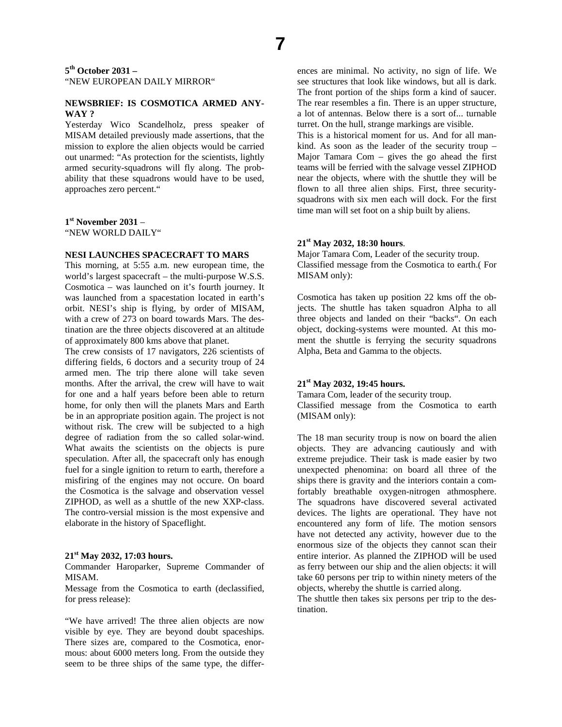**5th October 2031 –**  "NEW EUROPEAN DAILY MIRROR"

#### **NEWSBRIEF: IS COSMOTICA ARMED ANY-WAY ?**

Yesterday Wico Scandelholz, press speaker of MISAM detailed previously made assertions, that the mission to explore the alien objects would be carried out unarmed: "As protection for the scientists, lightly armed security-squadrons will fly along. The probability that these squadrons would have to be used, approaches zero percent."

**1st November 2031** – "NEW WORLD DAILY"

#### **NESI LAUNCHES SPACECRAFT TO MARS**

This morning, at 5:55 a.m. new european time, the world's largest spacecraft – the multi-purpose W.S.S. Cosmotica – was launched on it's fourth journey. It was launched from a spacestation located in earth's orbit. NESI's ship is flying, by order of MISAM, with a crew of 273 on board towards Mars. The destination are the three objects discovered at an altitude of approximately 800 kms above that planet.

The crew consists of 17 navigators, 226 scientists of differing fields, 6 doctors and a security troup of 24 armed men. The trip there alone will take seven months. After the arrival, the crew will have to wait for one and a half years before been able to return home, for only then will the planets Mars and Earth be in an appropriate position again. The project is not without risk. The crew will be subjected to a high degree of radiation from the so called solar-wind. What awaits the scientists on the objects is pure speculation. After all, the spacecraft only has enough fuel for a single ignition to return to earth, therefore a misfiring of the engines may not occure. On board the Cosmotica is the salvage and observation vessel ZIPHOD, as well as a shuttle of the new XXP-class. The contro-versial mission is the most expensive and elaborate in the history of Spaceflight.

#### **21st May 2032, 17:03 hours.**

Commander Haroparker, Supreme Commander of MISAM.

Message from the Cosmotica to earth (declassified, for press release):

"We have arrived! The three alien objects are now visible by eye. They are beyond doubt spaceships. There sizes are, compared to the Cosmotica, enormous: about 6000 meters long. From the outside they seem to be three ships of the same type, the differences are minimal. No activity, no sign of life. We see structures that look like windows, but all is dark. The front portion of the ships form a kind of saucer. The rear resembles a fin. There is an upper structure, a lot of antennas. Below there is a sort of... turnable turret. On the hull, strange markings are visible.

This is a historical moment for us. And for all mankind. As soon as the leader of the security troup – Major Tamara Com – gives the go ahead the first teams will be ferried with the salvage vessel ZIPHOD near the objects, where with the shuttle they will be flown to all three alien ships. First, three securitysquadrons with six men each will dock. For the first time man will set foot on a ship built by aliens.

#### **21st May 2032, 18:30 hours**.

Major Tamara Com, Leader of the security troup. Classified message from the Cosmotica to earth.( For MISAM only):

Cosmotica has taken up position 22 kms off the objects. The shuttle has taken squadron Alpha to all three objects and landed on their "backs". On each object, docking-systems were mounted. At this moment the shuttle is ferrying the security squadrons Alpha, Beta and Gamma to the objects.

#### **21st May 2032, 19:45 hours.**

Tamara Com, leader of the security troup. Classified message from the Cosmotica to earth (MISAM only):

The 18 man security troup is now on board the alien objects. They are advancing cautiously and with extreme prejudice. Their task is made easier by two unexpected phenomina: on board all three of the ships there is gravity and the interiors contain a comfortably breathable oxygen-nitrogen athmosphere. The squadrons have discovered several activated devices. The lights are operational. They have not encountered any form of life. The motion sensors have not detected any activity, however due to the enormous size of the objects they cannot scan their entire interior. As planned the ZIPHOD will be used as ferry between our ship and the alien objects: it will take 60 persons per trip to within ninety meters of the objects, whereby the shuttle is carried along.

The shuttle then takes six persons per trip to the destination.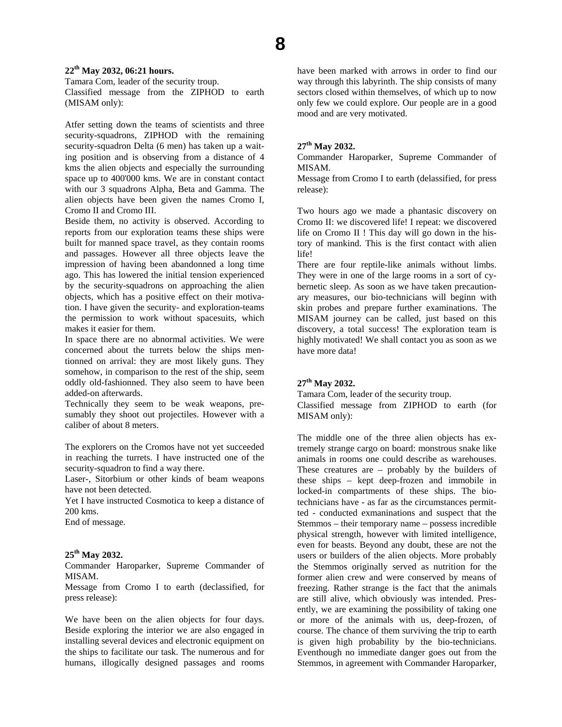#### **22th May 2032, 06:21 hours.**

Tamara Com, leader of the security troup. Classified message from the ZIPHOD to earth (MISAM only):

Atfer setting down the teams of scientists and three security-squadrons, ZIPHOD with the remaining security-squadron Delta (6 men) has taken up a waiting position and is observing from a distance of 4 kms the alien objects and especially the surrounding space up to 400'000 kms. We are in constant contact with our 3 squadrons Alpha, Beta and Gamma. The alien objects have been given the names Cromo I, Cromo II and Cromo III.

Beside them, no activity is observed. According to reports from our exploration teams these ships were built for manned space travel, as they contain rooms and passages. However all three objects leave the impression of having been abandonned a long time ago. This has lowered the initial tension experienced by the security-squadrons on approaching the alien objects, which has a positive effect on their motivation. I have given the security- and exploration-teams the permission to work without spacesuits, which makes it easier for them.

In space there are no abnormal activities. We were concerned about the turrets below the ships mentionned on arrival: they are most likely guns. They somehow, in comparison to the rest of the ship, seem oddly old-fashionned. They also seem to have been added-on afterwards.

Technically they seem to be weak weapons, presumably they shoot out projectiles. However with a caliber of about 8 meters.

The explorers on the Cromos have not yet succeeded in reaching the turrets. I have instructed one of the security-squadron to find a way there.

Laser-, Sitorbium or other kinds of beam weapons have not been detected.

Yet I have instructed Cosmotica to keep a distance of 200 kms.

End of message.

#### **25th May 2032.**

Commander Haroparker, Supreme Commander of MISAM.

Message from Cromo I to earth (declassified, for press release):

We have been on the alien objects for four days. Beside exploring the interior we are also engaged in installing several devices and electronic equipment on the ships to facilitate our task. The numerous and for humans, illogically designed passages and rooms have been marked with arrows in order to find our way through this labyrinth. The ship consists of many sectors closed within themselves, of which up to now only few we could explore. Our people are in a good mood and are very motivated.

#### **27th May 2032.**

Commander Haroparker, Supreme Commander of MISAM.

Message from Cromo I to earth (delassified, for press release):

Two hours ago we made a phantasic discovery on Cromo II: we discovered life! I repeat: we discovered life on Cromo II ! This day will go down in the history of mankind. This is the first contact with alien life!

There are four reptile-like animals without limbs. They were in one of the large rooms in a sort of cybernetic sleep. As soon as we have taken precautionary measures, our bio-technicians will beginn with skin probes and prepare further examinations. The MISAM journey can be called, just based on this discovery, a total success! The exploration team is highly motivated! We shall contact you as soon as we have more data!

#### **27th May 2032.**

Tamara Com, leader of the security troup. Classified message from ZIPHOD to earth (for MISAM only):

The middle one of the three alien objects has extremely strange cargo on board: monstrous snake like animals in rooms one could describe as warehouses. These creatures are – probably by the builders of these ships – kept deep-frozen and immobile in locked-in compartments of these ships. The biotechnicians have - as far as the circumstances permitted - conducted exmaninations and suspect that the Stemmos – their temporary name – possess incredible physical strength, however with limited intelligence, even for beasts. Beyond any doubt, these are not the users or builders of the alien objects. More probably the Stemmos originally served as nutrition for the former alien crew and were conserved by means of freezing. Rather strange is the fact that the animals are still alive, which obviously was intended. Presently, we are examining the possibility of taking one or more of the animals with us, deep-frozen, of course. The chance of them surviving the trip to earth is given high probability by the bio-technicians. Eventhough no immediate danger goes out from the Stemmos, in agreement with Commander Haroparker,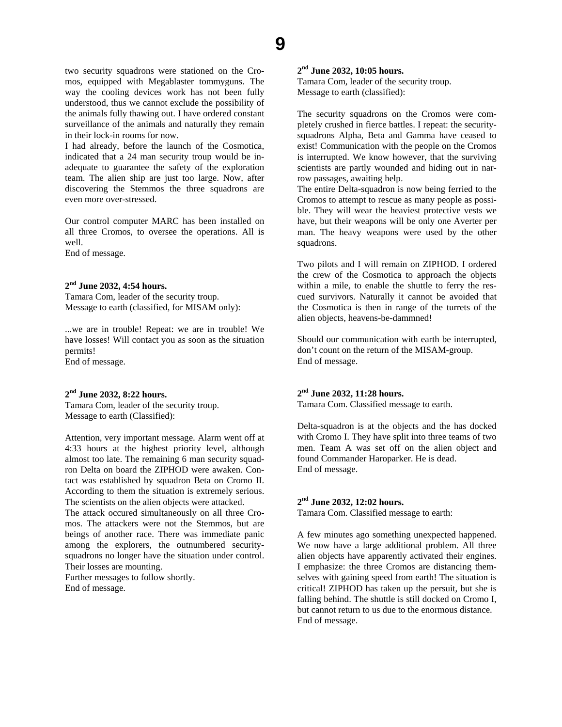two security squadrons were stationed on the Cromos, equipped with Megablaster tommyguns. The way the cooling devices work has not been fully understood, thus we cannot exclude the possibility of the animals fully thawing out. I have ordered constant surveillance of the animals and naturally they remain in their lock-in rooms for now.

I had already, before the launch of the Cosmotica, indicated that a 24 man security troup would be inadequate to guarantee the safety of the exploration team. The alien ship are just too large. Now, after discovering the Stemmos the three squadrons are even more over-stressed.

Our control computer MARC has been installed on all three Cromos, to oversee the operations. All is well.

End of message.

# **2nd June 2032, 4:54 hours.**

Tamara Com, leader of the security troup. Message to earth (classified, for MISAM only):

...we are in trouble! Repeat: we are in trouble! We have losses! Will contact you as soon as the situation permits! End of message.

## **2nd June 2032, 8:22 hours.**

Tamara Com, leader of the security troup. Message to earth (Classified):

Attention, very important message. Alarm went off at 4:33 hours at the highest priority level, although almost too late. The remaining 6 man security squadron Delta on board the ZIPHOD were awaken. Contact was established by squadron Beta on Cromo II. According to them the situation is extremely serious. The scientists on the alien objects were attacked.

The attack occured simultaneously on all three Cromos. The attackers were not the Stemmos, but are beings of another race. There was immediate panic among the explorers, the outnumbered securitysquadrons no longer have the situation under control. Their losses are mounting.

Further messages to follow shortly. End of message.

# **2nd June 2032, 10:05 hours.**

Tamara Com, leader of the security troup. Message to earth (classified):

The security squadrons on the Cromos were completely crushed in fierce battles. I repeat: the securitysquadrons Alpha, Beta and Gamma have ceased to exist! Communication with the people on the Cromos is interrupted. We know however, that the surviving scientists are partly wounded and hiding out in narrow passages, awaiting help.

The entire Delta-squadron is now being ferried to the Cromos to attempt to rescue as many people as possible. They will wear the heaviest protective vests we have, but their weapons will be only one Averter per man. The heavy weapons were used by the other squadrons.

Two pilots and I will remain on ZIPHOD. I ordered the crew of the Cosmotica to approach the objects within a mile, to enable the shuttle to ferry the rescued survivors. Naturally it cannot be avoided that the Cosmotica is then in range of the turrets of the alien objects, heavens-be-dammned!

Should our communication with earth be interrupted, don't count on the return of the MISAM-group. End of message.

# **2nd June 2032, 11:28 hours.**

Tamara Com. Classified message to earth.

Delta-squadron is at the objects and the has docked with Cromo I. They have split into three teams of two men. Team A was set off on the alien object and found Commander Haroparker. He is dead. End of message.

#### **2nd June 2032, 12:02 hours.**

Tamara Com. Classified message to earth:

A few minutes ago something unexpected happened. We now have a large additional problem. All three alien objects have apparently activated their engines. I emphasize: the three Cromos are distancing themselves with gaining speed from earth! The situation is critical! ZIPHOD has taken up the persuit, but she is falling behind. The shuttle is still docked on Cromo I, but cannot return to us due to the enormous distance. End of message.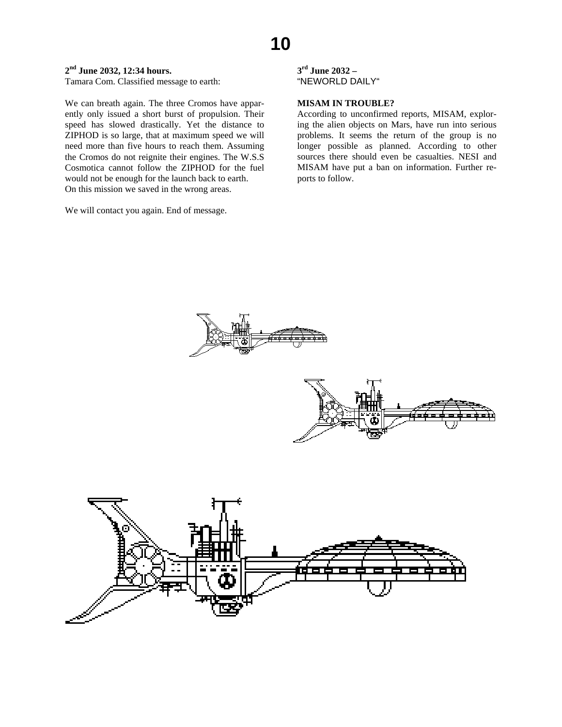# **10**

# **2nd June 2032, 12:34 hours.**

Tamara Com. Classified message to earth:

We can breath again. The three Cromos have apparently only issued a short burst of propulsion. Their speed has slowed drastically. Yet the distance to ZIPHOD is so large, that at maximum speed we will need more than five hours to reach them. Assuming the Cromos do not reignite their engines. The W.S.S Cosmotica cannot follow the ZIPHOD for the fuel would not be enough for the launch back to earth. On this mission we saved in the wrong areas.

We will contact you again. End of message.

**3rd June 2032 –**  "NEWORLD DAILY"

#### **MISAM IN TROUBLE?**

According to unconfirmed reports, MISAM, exploring the alien objects on Mars, have run into serious problems. It seems the return of the group is no longer possible as planned. According to other sources there should even be casualties. NESI and MISAM have put a ban on information. Further reports to follow.





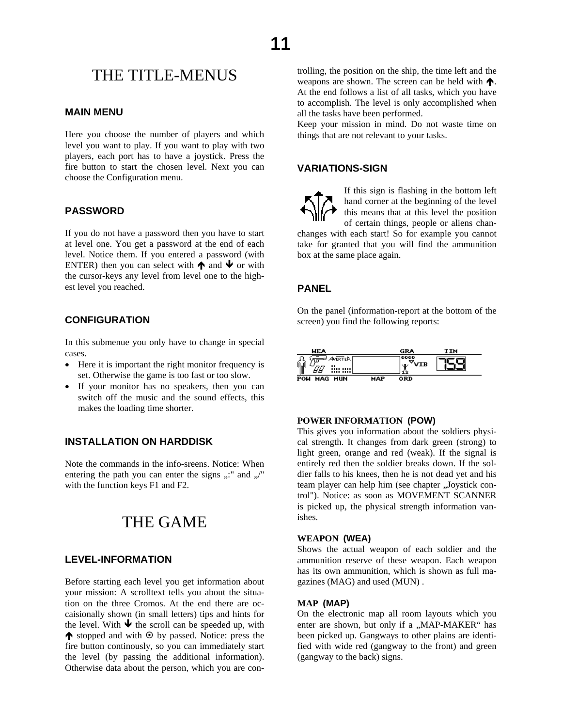# <span id="page-10-0"></span>THE TITLE-MENUS

# **MAIN MENU**

Here you choose the number of players and which level you want to play. If you want to play with two players, each port has to have a joystick. Press the fire button to start the chosen level. Next you can choose the Configuration menu.

## **PASSWORD**

If you do not have a password then you have to start at level one. You get a password at the end of each level. Notice them. If you entered a password (with ENTER) then you can select with  $\bigwedge$  and  $\bigvee$  or with the cursor-keys any level from level one to the highest level you reached.

#### **CONFIGURATION**

In this submenue you only have to change in special cases.

- Here it is important the right monitor frequency is set. Otherwise the game is too fast or too slow.
- If your monitor has no speakers, then you can switch off the music and the sound effects, this makes the loading time shorter.

#### **INSTALLATION ON HARDDISK**

Note the commands in the info-sreens. Notice: When entering the path you can enter the signs  $,$ ..." and  $,$ /" with the function keys F1 and F2.

# THE GAME

# **LEVEL-INFORMATION**

Before starting each level you get information about your mission: A scrolltext tells you about the situation on the three Cromos. At the end there are occaisionally shown (in small letters) tips and hints for the level. With  $\blacktriangleright$  the scroll can be speeded up, with  $\spadesuit$  stopped and with  $\heartsuit$  by passed. Notice: press the fire button continously, so you can immediately start the level (by passing the additional information). Otherwise data about the person, which you are controlling, the position on the ship, the time left and the weapons are shown. The screen can be held with  $\uparrow$ . At the end follows a list of all tasks, which you have to accomplish. The level is only accomplished when all the tasks have been performed.

Keep your mission in mind. Do not waste time on things that are not relevant to your tasks.

## **VARIATIONS-SIGN**



If this sign is flashing in the bottom left hand corner at the beginning of the level this means that at this level the position of certain things, people or aliens chan-

changes with each start! So for example you cannot take for granted that you will find the ammunition box at the same place again.

#### **PANEL**

On the panel (information-report at the bottom of the screen) you find the following reports:



#### **POWER INFORMATION (POW)**

This gives you information about the soldiers physical strength. It changes from dark green (strong) to light green, orange and red (weak). If the signal is entirely red then the soldier breaks down. If the soldier falls to his knees, then he is not dead yet and his team player can help him (see chapter "Joystick control"). Notice: as soon as MOVEMENT SCANNER is picked up, the physical strength information vanishes.

#### **WEAPON (WEA)**

Shows the actual weapon of each soldier and the ammunition reserve of these weapon. Each weapon has its own ammunition, which is shown as full magazines (MAG) and used (MUN) .

#### **MAP (MAP)**

On the electronic map all room layouts which you enter are shown, but only if a "MAP-MAKER" has been picked up. Gangways to other plains are identified with wide red (gangway to the front) and green (gangway to the back) signs.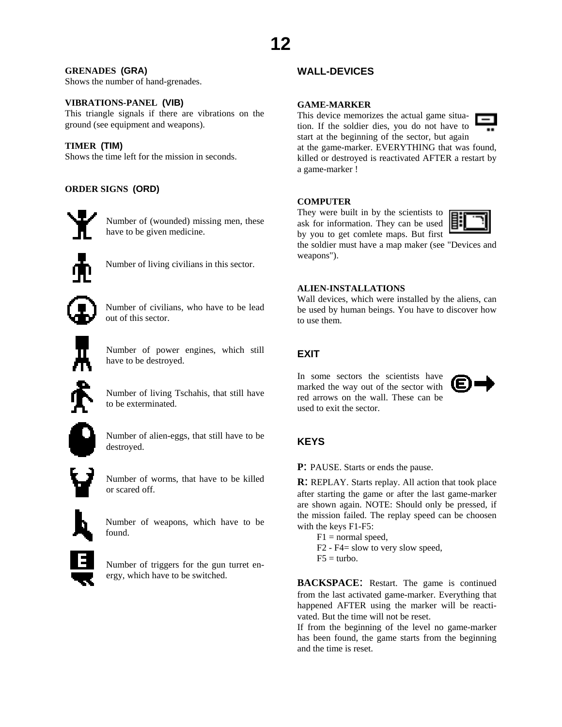# <span id="page-11-0"></span>**GRENADES (GRA)**

Shows the number of hand-grenades.

#### **VIBRATIONS-PANEL (VIB)**

This triangle signals if there are vibrations on the ground (see equipment and weapons).

#### **TIMER (TIM)**

Shows the time left for the mission in seconds.

# **ORDER SIGNS (ORD)**



Number of (wounded) missing men, these have to be given medicine.



Number of living civilians in this sector.

Number of civilians, who have to be lead out of this sector.

Number of power engines, which still

have to be destroyed.

Number of living Tschahis, that still have to be exterminated.



Number of alien-eggs, that still have to be destroyed.

Number of worms, that have to be killed or scared off.



Number of weapons, which have to be found.



Number of triggers for the gun turret energy, which have to be switched.

# **WALL-DEVICES**

#### **GAME-MARKER**

This device memorizes the actual game situation. If the soldier dies, you do not have to start at the beginning of the sector, but again



at the game-marker. EVERYTHING that was found, killed or destroyed is reactivated AFTER a restart by a game-marker !

#### **COMPUTER**

They were built in by the scientists to ask for information. They can be used by you to get comlete maps. But first



the soldier must have a map maker (see "Devices and weapons").

#### **ALIEN-INSTALLATIONS**

Wall devices, which were installed by the aliens, can be used by human beings. You have to discover how to use them.

# **EXIT**

In some sectors the scientists have marked the way out of the sector with red arrows on the wall. These can be used to exit the sector.



# **KEYS**

**P**: PAUSE. Starts or ends the pause.

**R**: REPLAY. Starts replay. All action that took place after starting the game or after the last game-marker are shown again. NOTE: Should only be pressed, if the mission failed. The replay speed can be choosen with the keys F1-F5:

- $F1 =$  normal speed,
- F2 F4= slow to very slow speed,
- $F5 =$  turbo.

**BACKSPACE:** Restart. The game is continued from the last activated game-marker. Everything that happened AFTER using the marker will be reactivated. But the time will not be reset.

If from the beginning of the level no game-marker has been found, the game starts from the beginning and the time is reset.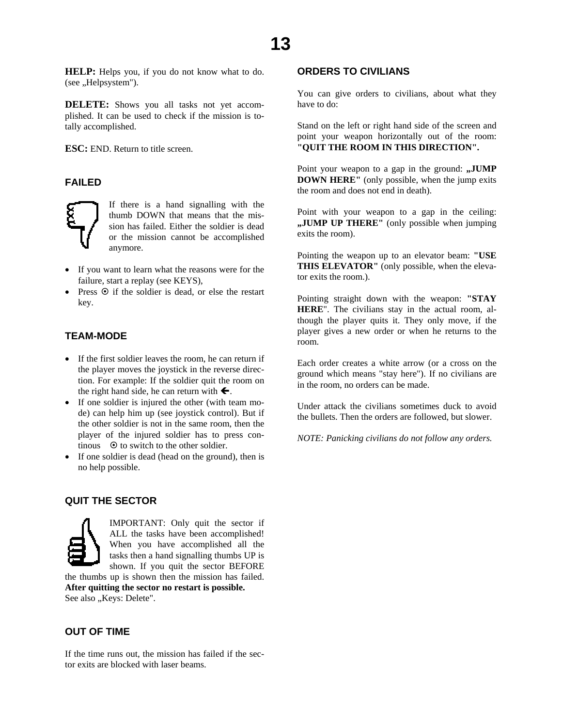<span id="page-12-0"></span>**HELP:** Helps you, if you do not know what to do. (see "Helpsystem").

**DELETE:** Shows you all tasks not yet accomplished. It can be used to check if the mission is totally accomplished.

**ESC:** END. Return to title screen.

# **FAILED**



If there is a hand signalling with the thumb DOWN that means that the mission has failed. Either the soldier is dead or the mission cannot be accomplished anymore.

- If you want to learn what the reasons were for the failure, start a replay (see KEYS),
- Press  $\odot$  if the soldier is dead, or else the restart key.

## **TEAM-MODE**

- If the first soldier leaves the room, he can return if the player moves the joystick in the reverse direction. For example: If the soldier quit the room on the right hand side, he can return with  $\leftarrow$ .
- If one soldier is injured the other (with team mode) can help him up (see joystick control). But if the other soldier is not in the same room, then the player of the injured soldier has to press continous  $\Theta$  to switch to the other soldier.
- If one soldier is dead (head on the ground), then is no help possible.

### **QUIT THE SECTOR**



IMPORTANT: Only quit the sector if ALL the tasks have been accomplished! When you have accomplished all the tasks then a hand signalling thumbs UP is shown. If you quit the sector BEFORE

the thumbs up is shown then the mission has failed. **After quitting the sector no restart is possible.**  See also "Keys: Delete".

#### **OUT OF TIME**

If the time runs out, the mission has failed if the sector exits are blocked with laser beams.

# **ORDERS TO CIVILIANS**

You can give orders to civilians, about what they have to do:

Stand on the left or right hand side of the screen and point your weapon horizontally out of the room: **"QUIT THE ROOM IN THIS DIRECTION".**

Point your weapon to a gap in the ground: "JUMP **DOWN HERE"** (only possible, when the jump exits the room and does not end in death).

Point with your weapon to a gap in the ceiling: **"JUMP UP THERE"** (only possible when jumping exits the room).

Pointing the weapon up to an elevator beam: **"USE THIS ELEVATOR"** (only possible, when the elevator exits the room.).

Pointing straight down with the weapon: **"STAY HERE**". The civilians stay in the actual room, although the player quits it. They only move, if the player gives a new order or when he returns to the room.

Each order creates a white arrow (or a cross on the ground which means "stay here"). If no civilians are in the room, no orders can be made.

Under attack the civilians sometimes duck to avoid the bullets. Then the orders are followed, but slower.

*NOTE: Panicking civilians do not follow any orders.*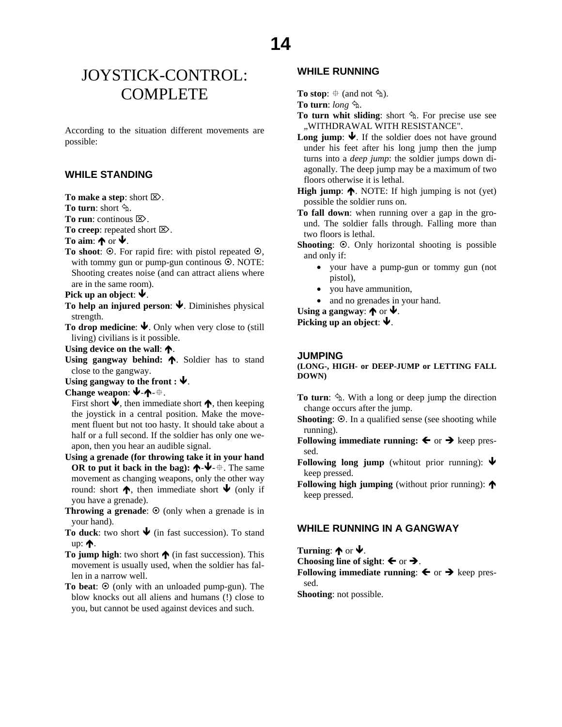# <span id="page-13-0"></span>JOYSTICK-CONTROL: **COMPLETE**

According to the situation different movements are possible:

#### **WHILE STANDING**

**To make a step**: short ⌦.

**To turn:** short  $\hat{\phi}$ .

**To run**: continous ⌦.

**To creep**: repeated short ⌦.

To aim:  $\bigwedge$  or  $\bigvee$ .

**To shoot:**  $\odot$ . For rapid fire: with pistol repeated  $\odot$ , with tommy gun or pump-gun continous  $\odot$ . NOTE: Shooting creates noise (and can attract aliens where are in the same room).

Pick up an object:  $\blacklozenge$ .

- **To help an injured person:**  $\blacklozenge$ . Diminishes physical strength.
- **To drop medicine:**  $\blacktriangleright$ . Only when very close to (still living) civilians is it possible.

Using device on the wall:  $\spadesuit$ .

Using gangway behind:  $\uparrow$ . Soldier has to stand close to the gangway.

Using gangway to the front :  $\blacklozenge$ .

Change weapon: **↓**-↑- ⊕.

First short  $\blacklozenge$ , then immediate short  $\blacklozenge$ , then keeping the joystick in a central position. Make the movement fluent but not too hasty. It should take about a half or a full second. If the soldier has only one weapon, then you hear an audible signal.

- **Using a grenade (for throwing take it in your hand OR to put it back in the bag):**  $\mathbf{\hat{\tau}}$ **-** $\mathbf{\hat{\Psi}}$ **-** $\mathbf{\hat{\tau}}$ **. The same** movement as changing weapons, only the other way round: short  $\spadesuit$ , then immediate short  $\blacklozenge$  (only if you have a grenade).
- **Throwing a grenade:**  $\odot$  (only when a grenade is in your hand).
- To duck: two short  $\blacklozenge$  (in fast succession). To stand up:  $\spadesuit$ .

**To jump high:** two short  $\bigwedge$  (in fast succession). This movement is usually used, when the soldier has fallen in a narrow well.

**To beat:**  $\odot$  (only with an unloaded pump-gun). The blow knocks out all aliens and humans (!) close to you, but cannot be used against devices and such.

# **WHILE RUNNING**

**To stop**:  $\oplus$  (and not  $\Diamond$ ).

**To turn**: *long* «.

- **To turn whit sliding**: short  $\hat{\phi}$ . For precise use see "WITHDRAWAL WITH RESISTANCE".
- **Long jump:**  $\blacklozenge$ . If the soldier does not have ground under his feet after his long jump then the jump turns into a *deep jump*: the soldier jumps down diagonally. The deep jump may be a maximum of two floors otherwise it is lethal.
- **High jump:**  $\spadesuit$ . NOTE: If high jumping is not (yet) possible the soldier runs on.
- **To fall down**: when running over a gap in the ground. The soldier falls through. Falling more than two floors is lethal.
- **Shooting**:  $\odot$ . Only horizontal shooting is possible and only if:
	- your have a pump-gun or tommy gun (not pistol),
	- you have ammunition,
	- and no grenades in your hand.

Using a gangway:  $\bigwedge$  or  $\bigvee$ .

**Picking up an object:**  $\blacklozenge$ .

#### **JUMPING**

**(LONG-, HIGH- or DEEP-JUMP or LETTING FALL DOWN)**

- **To turn**:  $\hat{\phi}$ . With a long or deep jump the direction change occurs after the jump.
- **Shooting**:  $\odot$ . In a qualified sense (see shooting while running).
- **Following immediate running:**  $\leftarrow$  or  $\rightarrow$  keep pressed.
- **Following long jump** (whitout prior running):  $\blacklozenge$ keep pressed.
- **Following high jumping** (without prior running):  $\uparrow$ keep pressed.

## **WHILE RUNNING IN A GANGWAY**

**Turning:**  $\spadesuit$  or  $\clubsuit$ .

**Choosing line of sight:**  $\leftarrow$  or  $\rightarrow$ .

**Following immediate running:**  $\leftarrow$  or  $\rightarrow$  keep pressed.

**Shooting**: not possible.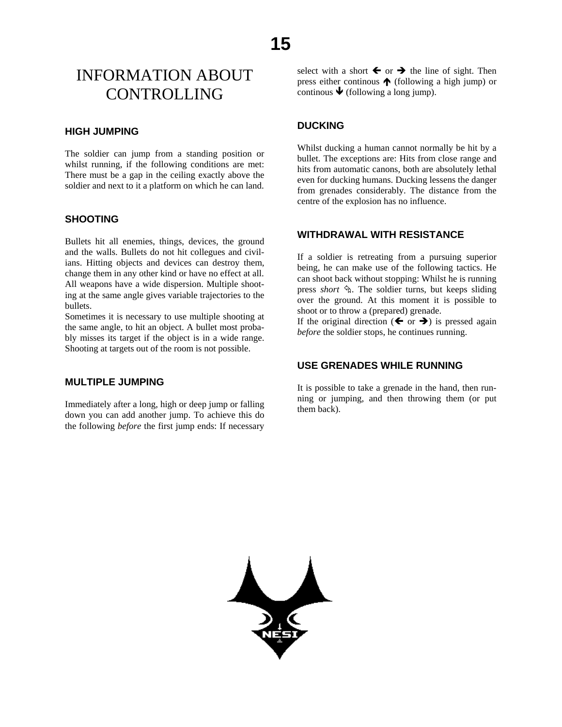# <span id="page-14-0"></span>INFORMATION ABOUT CONTROLLING

### **HIGH JUMPING**

The soldier can jump from a standing position or whilst running, if the following conditions are met: There must be a gap in the ceiling exactly above the soldier and next to it a platform on which he can land.

# **SHOOTING**

Bullets hit all enemies, things, devices, the ground and the walls. Bullets do not hit collegues and civilians. Hitting objects and devices can destroy them, change them in any other kind or have no effect at all. All weapons have a wide dispersion. Multiple shooting at the same angle gives variable trajectories to the bullets.

Sometimes it is necessary to use multiple shooting at the same angle, to hit an object. A bullet most probably misses its target if the object is in a wide range. Shooting at targets out of the room is not possible.

## **MULTIPLE JUMPING**

Immediately after a long, high or deep jump or falling down you can add another jump. To achieve this do the following *before* the first jump ends: If necessary

select with a short  $\blacklozenge$  or  $\blacktriangleright$  the line of sight. Then press either continous  $\bigwedge$  (following a high jump) or continous  $\blacklozenge$  (following a long jump).

#### **DUCKING**

Whilst ducking a human cannot normally be hit by a bullet. The exceptions are: Hits from close range and hits from automatic canons, both are absolutely lethal even for ducking humans. Ducking lessens the danger from grenades considerably. The distance from the centre of the explosion has no influence.

# **WITHDRAWAL WITH RESISTANCE**

If a soldier is retreating from a pursuing superior being, he can make use of the following tactics. He can shoot back without stopping: Whilst he is running press *short*  $\hat{\mathcal{A}}$ . The soldier turns, but keeps sliding over the ground. At this moment it is possible to shoot or to throw a (prepared) grenade.

If the original direction ( $\blacktriangle$  or  $\blacktriangleright$ ) is pressed again *before* the soldier stops, he continues running.

# **USE GRENADES WHILE RUNNING**

It is possible to take a grenade in the hand, then running or jumping, and then throwing them (or put them back).

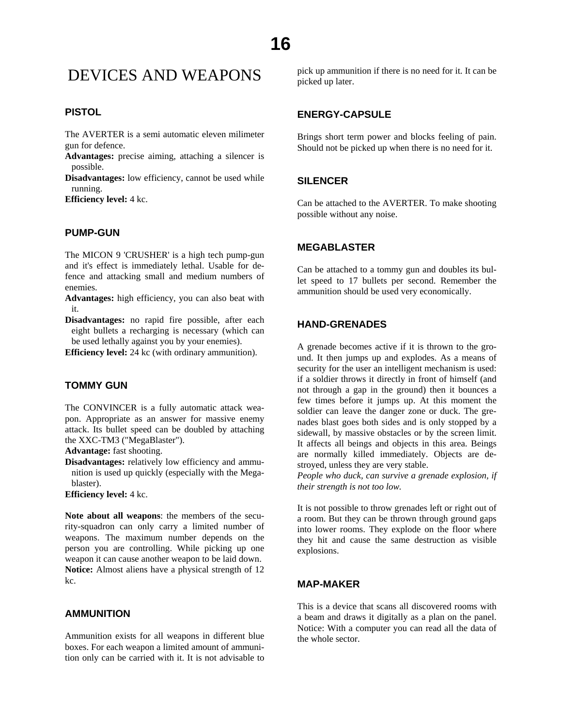# <span id="page-15-0"></span>DEVICES AND WEAPONS

## **PISTOL**

The AVERTER is a semi automatic eleven milimeter gun for defence.

**Advantages:** precise aiming, attaching a silencer is possible.

**Disadvantages:** low efficiency, cannot be used while running.

**Efficiency level:** 4 kc.

#### **PUMP-GUN**

The MICON 9 'CRUSHER' is a high tech pump-gun and it's effect is immediately lethal. Usable for defence and attacking small and medium numbers of enemies.

**Advantages:** high efficiency, you can also beat with it.

**Disadvantages:** no rapid fire possible, after each eight bullets a recharging is necessary (which can be used lethally against you by your enemies).

**Efficiency level:** 24 kc (with ordinary ammunition).

#### **TOMMY GUN**

The CONVINCER is a fully automatic attack weapon. Appropriate as an answer for massive enemy attack. Its bullet speed can be doubled by attaching the XXC-TM3 ("MegaBlaster").

**Advantage:** fast shooting.

**Disadvantages:** relatively low efficiency and ammunition is used up quickly (especially with the Megablaster).

**Efficiency level:** 4 kc.

**Note about all weapons**: the members of the security-squadron can only carry a limited number of weapons. The maximum number depends on the person you are controlling. While picking up one weapon it can cause another weapon to be laid down. **Notice:** Almost aliens have a physical strength of 12 kc.

# **AMMUNITION**

Ammunition exists for all weapons in different blue boxes. For each weapon a limited amount of ammunition only can be carried with it. It is not advisable to pick up ammunition if there is no need for it. It can be picked up later.

#### **ENERGY-CAPSULE**

Brings short term power and blocks feeling of pain. Should not be picked up when there is no need for it.

## **SILENCER**

Can be attached to the AVERTER. To make shooting possible without any noise.

#### **MEGABLASTER**

Can be attached to a tommy gun and doubles its bullet speed to 17 bullets per second. Remember the ammunition should be used very economically.

## **HAND-GRENADES**

A grenade becomes active if it is thrown to the ground. It then jumps up and explodes. As a means of security for the user an intelligent mechanism is used: if a soldier throws it directly in front of himself (and not through a gap in the ground) then it bounces a few times before it jumps up. At this moment the soldier can leave the danger zone or duck. The grenades blast goes both sides and is only stopped by a sidewall, by massive obstacles or by the screen limit. It affects all beings and objects in this area. Beings are normally killed immediately. Objects are destroyed, unless they are very stable.

*People who duck, can survive a grenade explosion, if their strength is not too low.*

It is not possible to throw grenades left or right out of a room. But they can be thrown through ground gaps into lower rooms. They explode on the floor where they hit and cause the same destruction as visible explosions.

#### **MAP-MAKER**

This is a device that scans all discovered rooms with a beam and draws it digitally as a plan on the panel. Notice: With a computer you can read all the data of the whole sector.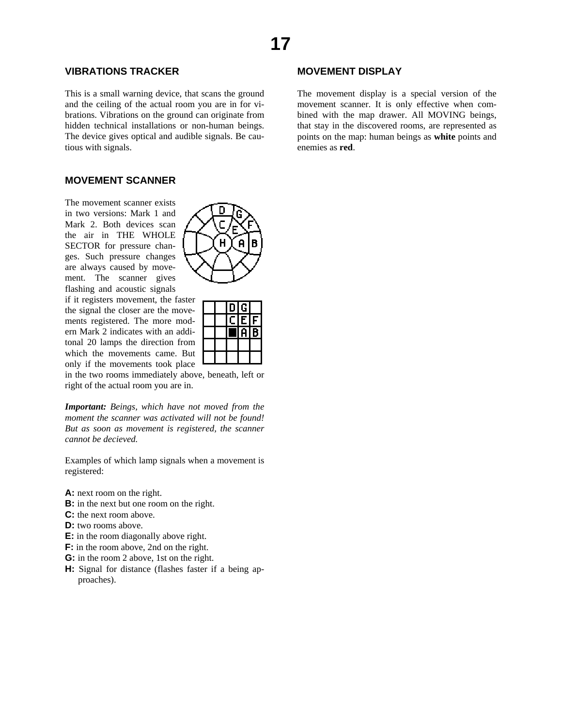# **17**

# **VIBRATIONS TRACKER**

This is a small warning device, that scans the ground and the ceiling of the actual room you are in for vibrations. Vibrations on the ground can originate from hidden technical installations or non-human beings. The device gives optical and audible signals. Be cautious with signals.

#### **MOVEMENT SCANNER**

The movement scanner exists in two versions: Mark 1 and Mark 2. Both devices scan the air in THE WHOLE SECTOR for pressure changes. Such pressure changes are always caused by movement. The scanner gives flashing and acoustic signals

if it registers movement, the faster the signal the closer are the movements registered. The more modern Mark 2 indicates with an additonal 20 lamps the direction from which the movements came. But only if the movements took place

in the two rooms immediately above, beneath, left or right of the actual room you are in.

*Important: Beings, which have not moved from the moment the scanner was activated will not be found! But as soon as movement is registered, the scanner cannot be decieved.* 

Examples of which lamp signals when a movement is registered:

- A: next room on the right.
- **B:** in the next but one room on the right.
- **C:** the next room above.
- **D:** two rooms above.
- **E:** in the room diagonally above right.
- **F:** in the room above, 2nd on the right.
- **G:** in the room 2 above, 1st on the right.
- **H:** Signal for distance (flashes faster if a being approaches).



D G E  $\overline{a}$ 

# **MOVEMENT DISPLAY**

The movement display is a special version of the movement scanner. It is only effective when combined with the map drawer. All MOVING beings, that stay in the discovered rooms, are represented as points on the map: human beings as **white** points and enemies as **red**.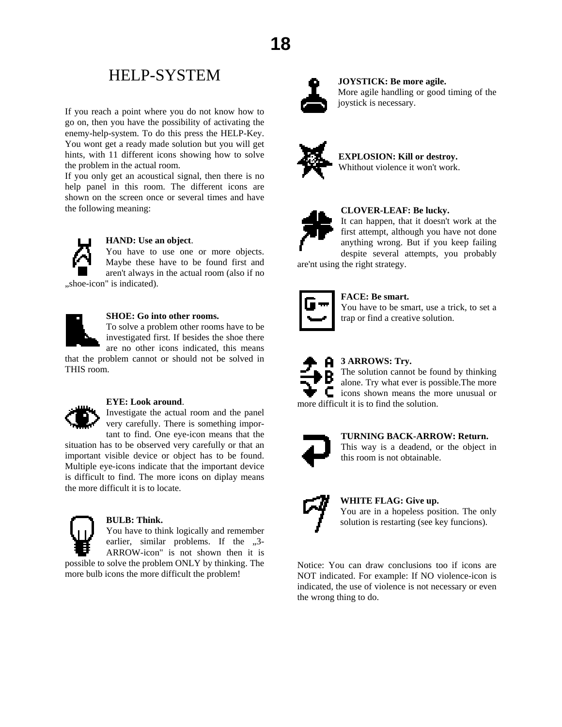# HELP-SYSTEM

<span id="page-17-0"></span>If you reach a point where you do not know how to go on, then you have the possibility of activating the enemy-help-system. To do this press the HELP-Key. You wont get a ready made solution but you will get hints, with 11 different icons showing how to solve the problem in the actual room.

If you only get an acoustical signal, then there is no help panel in this room. The different icons are shown on the screen once or several times and have the following meaning:



#### **HAND: Use an object**.

You have to use one or more objects. Maybe these have to be found first and aren't always in the actual room (also if no "shoe-icon" is indicated).



# **SHOE: Go into other rooms.**

To solve a problem other rooms have to be investigated first. If besides the shoe there are no other icons indicated, this means

that the problem cannot or should not be solved in THIS room.



#### **EYE: Look around**.

Investigate the actual room and the panel very carefully. There is something important to find. One eye-icon means that the

situation has to be observed very carefully or that an important visible device or object has to be found. Multiple eye-icons indicate that the important device is difficult to find. The more icons on diplay means the more difficult it is to locate.



#### **BULB: Think.**

You have to think logically and remember earlier, similar problems. If the  $,3$ -ARROW-icon" is not shown then it is possible to solve the problem ONLY by thinking. The

more bulb icons the more difficult the problem!



#### **JOYSTICK: Be more agile.**  More agile handling or good timing of the joystick is necessary.



**EXPLOSION: Kill or destroy.** Whithout violence it won't work.



#### **CLOVER-LEAF: Be lucky.**

It can happen, that it doesn't work at the first attempt, although you have not done anything wrong. But if you keep failing despite several attempts, you probably

are'nt using the right strategy.



## **FACE: Be smart.**

You have to be smart, use a trick, to set a trap or find a creative solution.



# **3 ARROWS: Try.**

The solution cannot be found by thinking alone. Try what ever is possible.The more C icons shown means the more unusual or more difficult it is to find the solution.



#### **TURNING BACK-ARROW: Return.**

This way is a deadend, or the object in this room is not obtainable.



# **WHITE FLAG: Give up.**  You are in a hopeless position. The only

solution is restarting (see key funcions).

Notice: You can draw conclusions too if icons are NOT indicated. For example: If NO violence-icon is indicated, the use of violence is not necessary or even the wrong thing to do.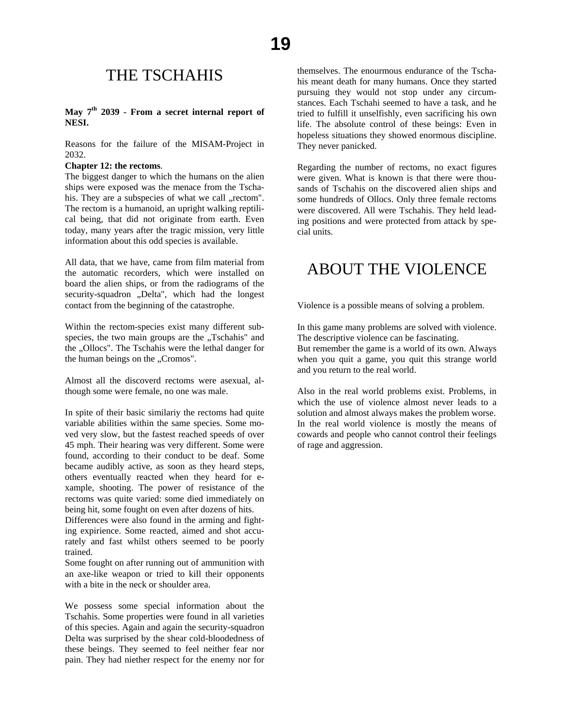# THE TSCHAHIS

## <span id="page-18-0"></span>**May 7th 2039 - From a secret internal report of NESI.**

Reasons for the failure of the MISAM-Project in 2032.

#### **Chapter 12: the rectoms**.

The biggest danger to which the humans on the alien ships were exposed was the menace from the Tschahis. They are a subspecies of what we call "rectom". The rectom is a humanoid, an upright walking reptilical being, that did not originate from earth. Even today, many years after the tragic mission, very little information about this odd species is available.

All data, that we have, came from film material from the automatic recorders, which were installed on board the alien ships, or from the radiograms of the security-squadron "Delta", which had the longest contact from the beginning of the catastrophe.

Within the rectom-species exist many different subspecies, the two main groups are the "Tschahis" and the "Ollocs". The Tschahis were the lethal danger for the human beings on the "Cromos".

Almost all the discoverd rectoms were asexual, although some were female, no one was male.

In spite of their basic similariy the rectoms had quite variable abilities within the same species. Some moved very slow, but the fastest reached speeds of over 45 mph. Their hearing was very different. Some were found, according to their conduct to be deaf. Some became audibly active, as soon as they heard steps, others eventually reacted when they heard for example, shooting. The power of resistance of the rectoms was quite varied: some died immediately on being hit, some fought on even after dozens of hits.

Differences were also found in the arming and fighting expirience. Some reacted, aimed and shot accurately and fast whilst others seemed to be poorly trained.

Some fought on after running out of ammunition with an axe-like weapon or tried to kill their opponents with a bite in the neck or shoulder area.

We possess some special information about the Tschahis. Some properties were found in all varieties of this species. Again and again the security-squadron Delta was surprised by the shear cold-bloodedness of these beings. They seemed to feel neither fear nor pain. They had niether respect for the enemy nor for

themselves. The enourmous endurance of the Tschahis meant death for many humans. Once they started pursuing they would not stop under any circumstances. Each Tschahi seemed to have a task, and he tried to fulfill it unselfishly, even sacrificing his own life. The absolute control of these beings: Even in hopeless situations they showed enormous discipline. They never panicked.

Regarding the number of rectoms, no exact figures were given. What is known is that there were thousands of Tschahis on the discovered alien ships and some hundreds of Ollocs. Only three female rectoms were discovered. All were Tschahis. They held leading positions and were protected from attack by special units.

# ABOUT THE VIOLENCE

Violence is a possible means of solving a problem.

In this game many problems are solved with violence. The descriptive violence can be fascinating. But remember the game is a world of its own. Always when you quit a game, you quit this strange world and you return to the real world.

Also in the real world problems exist. Problems, in which the use of violence almost never leads to a solution and almost always makes the problem worse. In the real world violence is mostly the means of cowards and people who cannot control their feelings of rage and aggression.